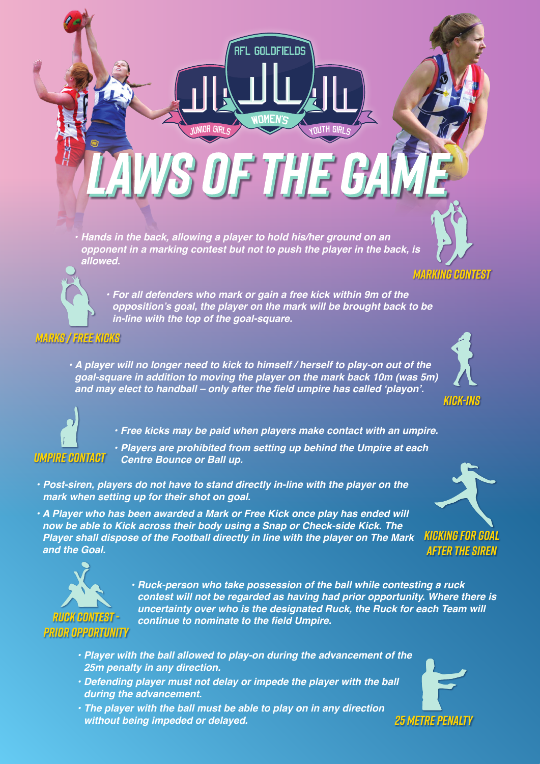*• Hands in the back, allowing a player to hold his/her ground on an opponent in a marking contest but not to push the player in the back, is allowed.*

nR GIRI d

*• For all defenders who mark or gain a free kick within 9m of the*  **opposition's goal, the player on the mark will be brought back to be**  *in-line with the top of the goal-square.*

AFL GOLDFIELDS

**SOFTHE GA** 

**S IRIO HTUN** 

*MARKS / FREE KICKS*

*UMPIRE CONTACT*

*RUCK CONTEST - PRIOR OPPORTUNITY*

*• A player will no longer need to kick to himself / herself to play-on out of the goal-square in addition to moving the player on the mark back 10m (was 5m)*  **and may elect to handball – only after the field umpire has called 'playon'.**



*• Players are prohibited from setting up behind the Umpire at each Centre Bounce or Ball up.*

- *Post-siren, players do not have to stand directly in-line with the player on the mark when setting up for their shot on goal.*
- *A Player who has been awarded a Mark or Free Kick once play has ended will now be able to Kick across their body using a Snap or Check-side Kick. The Player shall dispose of the Football directly in line with the player on The Mark and the Goal.*



- *Player with the ball allowed to play-on during the advancement of the 25m penalty in any direction.*
- *Defending player must not delay or impede the player with the ball during the advancement.*
- *The player with the ball must be able to play on in any direction without being impeded or delayed.*

*25 METRE PENALTY*







*MARKING CONTEST*